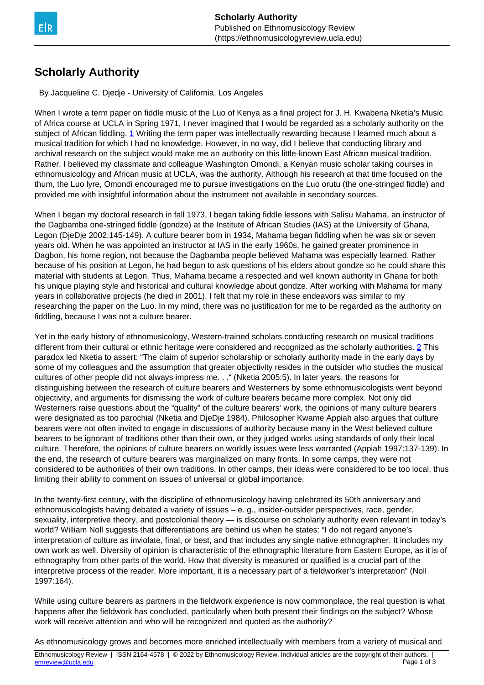## <span id="page-0-0"></span>**Scholarly Authority**

By Jacqueline C. Djedje - University of California, Los Angeles

When I wrote a term paper on fiddle music of the Luo of Kenya as a final project for J. H. Kwabena Nketia's Music of Africa course at UCLA in Spring 1971, I never imagined that I would be regarded as a scholarly authority on the subject of African fiddling. [1](#page-0-0) Writing the term paper was intellectually rewarding because I learned much about a musical tradition for which I had no knowledge. However, in no way, did I believe that conducting library and archival research on the subject would make me an authority on this little-known East African musical tradition. Rather, I believed my classmate and colleague Washington Omondi, a Kenyan music scholar taking courses in ethnomusicology and African music at UCLA, was the authority. Although his research at that time focused on the thum, the Luo lyre, Omondi encouraged me to pursue investigations on the Luo orutu (the one-stringed fiddle) and provided me with insightful information about the instrument not available in secondary sources.

When I began my doctoral research in fall 1973, I began taking fiddle lessons with Salisu Mahama, an instructor of the Dagbamba one-stringed fiddle (gondze) at the Institute of African Studies (IAS) at the University of Ghana, Legon (DjeDje 2002:145-149). A culture bearer born in 1934, Mahama began fiddling when he was six or seven years old. When he was appointed an instructor at IAS in the early 1960s, he gained greater prominence in Dagbon, his home region, not because the Dagbamba people believed Mahama was especially learned. Rather because of his position at Legon, he had begun to ask questions of his elders about gondze so he could share this material with students at Legon. Thus, Mahama became a respected and well known authority in Ghana for both his unique playing style and historical and cultural knowledge about gondze. After working with Mahama for many years in collaborative projects (he died in 2001), I felt that my role in these endeavors was similar to my researching the paper on the Luo. In my mind, there was no justification for me to be regarded as the authority on fiddling, because I was not a culture bearer.

Yet in the early history of ethnomusicology, Western-trained scholars conducting research on musical traditions different from their cultural or ethnic heritage were considered and recognized as the scholarly authorities. [2](#page-0-0) This paradox led Nketia to assert: "The claim of superior scholarship or scholarly authority made in the early days by some of my colleagues and the assumption that greater objectivity resides in the outsider who studies the musical cultures of other people did not always impress me. . ." (Nketia 2005:5). In later years, the reasons for distinguishing between the research of culture bearers and Westerners by some ethnomusicologists went beyond objectivity, and arguments for dismissing the work of culture bearers became more complex. Not only did Westerners raise questions about the "quality" of the culture bearers' work, the opinions of many culture bearers were designated as too parochial (Nketia and DjeDje 1984). Philosopher Kwame Appiah also argues that culture bearers were not often invited to engage in discussions of authority because many in the West believed culture bearers to be ignorant of traditions other than their own, or they judged works using standards of only their local culture. Therefore, the opinions of culture bearers on worldly issues were less warranted (Appiah 1997:137-139). In the end, the research of culture bearers was marginalized on many fronts. In some camps, they were not considered to be authorities of their own traditions. In other camps, their ideas were considered to be too local, thus limiting their ability to comment on issues of universal or global importance.

In the twenty-first century, with the discipline of ethnomusicology having celebrated its 50th anniversary and ethnomusicologists having debated a variety of issues – e. g., insider-outsider perspectives, race, gender, sexuality, interpretive theory, and postcolonial theory — is discourse on scholarly authority even relevant in today's world? William Noll suggests that differentiations are behind us when he states: "I do not regard anyone's interpretation of culture as inviolate, final, or best, and that includes any single native ethnographer. It includes my own work as well. Diversity of opinion is characteristic of the ethnographic literature from Eastern Europe, as it is of ethnography from other parts of the world. How that diversity is measured or qualified is a crucial part of the interpretive process of the reader. More important, it is a necessary part of a fieldworker's interpretation" (Noll 1997:164).

While using culture bearers as partners in the fieldwork experience is now commonplace, the real question is what happens after the fieldwork has concluded, particularly when both present their findings on the subject? Whose work will receive attention and who will be recognized and quoted as the authority?

As ethnomusicology grows and becomes more enriched intellectually with members from a variety of musical and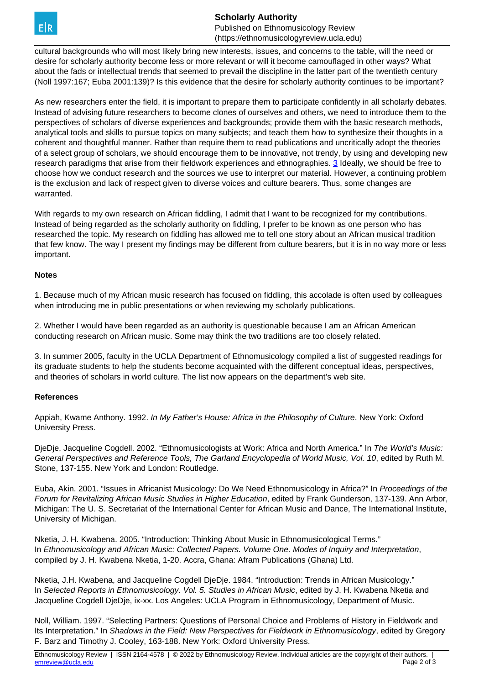<span id="page-1-0"></span>

**Scholarly Authority** Published on Ethnomusicology Review (https://ethnomusicologyreview.ucla.edu)

cultural backgrounds who will most likely bring new interests, issues, and concerns to the table, will the need or desire for scholarly authority become less or more relevant or will it become camouflaged in other ways? What about the fads or intellectual trends that seemed to prevail the discipline in the latter part of the twentieth century (Noll 1997:167; Euba 2001:139)? Is this evidence that the desire for scholarly authority continues to be important?

As new researchers enter the field, it is important to prepare them to participate confidently in all scholarly debates. Instead of advising future researchers to become clones of ourselves and others, we need to introduce them to the perspectives of scholars of diverse experiences and backgrounds; provide them with the basic research methods, analytical tools and skills to pursue topics on many subjects; and teach them how to synthesize their thoughts in a coherent and thoughtful manner. Rather than require them to read publications and uncritically adopt the theories of a select group of scholars, we should encourage them to be innovative, not trendy, by using and developing new research paradigms that arise from their fieldwork experiences and ethnographies. [3](#page-1-0) Ideally, we should be free to choose how we conduct research and the sources we use to interpret our material. However, a continuing problem is the exclusion and lack of respect given to diverse voices and culture bearers. Thus, some changes are warranted.

With regards to my own research on African fiddling, I admit that I want to be recognized for my contributions. Instead of being regarded as the scholarly authority on fiddling, I prefer to be known as one person who has researched the topic. My research on fiddling has allowed me to tell one story about an African musical tradition that few know. The way I present my findings may be different from culture bearers, but it is in no way more or less important.

## **Notes**

1. Because much of my African music research has focused on fiddling, this accolade is often used by colleagues when introducing me in public presentations or when reviewing my scholarly publications.

2. Whether I would have been regarded as an authority is questionable because I am an African American conducting research on African music. Some may think the two traditions are too closely related.

3. In summer 2005, faculty in the UCLA Department of Ethnomusicology compiled a list of suggested readings for its graduate students to help the students become acquainted with the different conceptual ideas, perspectives, and theories of scholars in world culture. The list now appears on the department's web site.

## **References**

Appiah, Kwame Anthony. 1992. In My Father's House: Africa in the Philosophy of Culture. New York: Oxford University Press.

DjeDje, Jacqueline Cogdell. 2002. "Ethnomusicologists at Work: Africa and North America." In The World's Music: General Perspectives and Reference Tools, The Garland Encyclopedia of World Music, Vol. 10, edited by Ruth M. Stone, 137-155. New York and London: Routledge.

Euba, Akin. 2001. "Issues in Africanist Musicology: Do We Need Ethnomusicology in Africa?" In Proceedings of the Forum for Revitalizing African Music Studies in Higher Education, edited by Frank Gunderson, 137-139. Ann Arbor, Michigan: The U. S. Secretariat of the International Center for African Music and Dance, The International Institute, University of Michigan.

Nketia, J. H. Kwabena. 2005. "Introduction: Thinking About Music in Ethnomusicological Terms." In Ethnomusicology and African Music: Collected Papers. Volume One. Modes of Inquiry and Interpretation, compiled by J. H. Kwabena Nketia, 1-20. Accra, Ghana: Afram Publications (Ghana) Ltd.

Nketia, J.H. Kwabena, and Jacqueline Cogdell DjeDje. 1984. "Introduction: Trends in African Musicology." In Selected Reports in Ethnomusicology. Vol. 5. Studies in African Music, edited by J. H. Kwabena Nketia and Jacqueline Cogdell DjeDje, ix-xx. Los Angeles: UCLA Program in Ethnomusicology, Department of Music.

Noll, William. 1997. "Selecting Partners: Questions of Personal Choice and Problems of History in Fieldwork and Its Interpretation." In Shadows in the Field: New Perspectives for Fieldwork in Ethnomusicology, edited by Gregory F. Barz and Timothy J. Cooley, 163-188. New York: Oxford University Press.